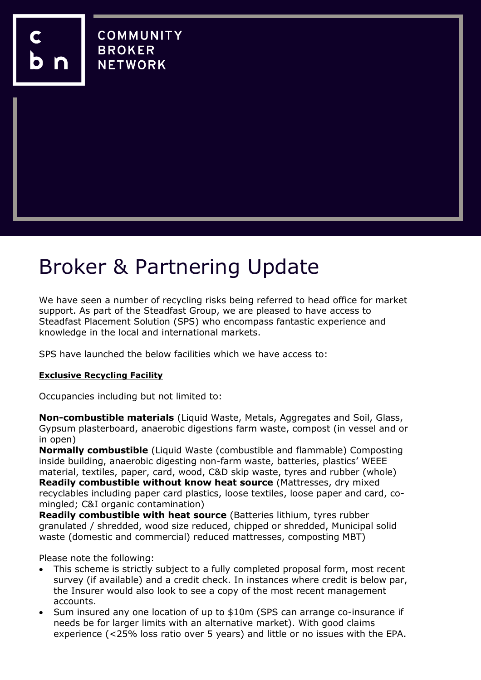**COMMUNITY BROKER NETWORK** 

# Broker & Partnering Update

We have seen a number of recycling risks being referred to head office for market support. As part of the Steadfast Group, we are pleased to have access to Steadfast Placement Solution (SPS) who encompass fantastic experience and knowledge in the local and international markets.

SPS have launched the below facilities which we have access to:

### **Exclusive Recycling Facility**

Occupancies including but not limited to:

**Non-combustible materials** (Liquid Waste, Metals, Aggregates and Soil, Glass, Gypsum plasterboard, anaerobic digestions farm waste, compost (in vessel and or in open)

**Normally combustible** (Liquid Waste (combustible and flammable) Composting inside building, anaerobic digesting non-farm waste, batteries, plastics' WEEE material, textiles, paper, card, wood, C&D skip waste, tyres and rubber (whole) **Readily combustible without know heat source** (Mattresses, dry mixed recyclables including paper card plastics, loose textiles, loose paper and card, comingled; C&I organic contamination)

**Readily combustible with heat source** (Batteries lithium, tyres rubber granulated / shredded, wood size reduced, chipped or shredded, Municipal solid waste (domestic and commercial) reduced mattresses, composting MBT)

Please note the following:

- This scheme is strictly subject to a fully completed proposal form, most recent survey (if available) and a credit check. In instances where credit is below par, the Insurer would also look to see a copy of the most recent management accounts.
- Sum insured any one location of up to \$10m (SPS can arrange co-insurance if needs be for larger limits with an alternative market). With good claims experience (<25% loss ratio over 5 years) and little or no issues with the EPA.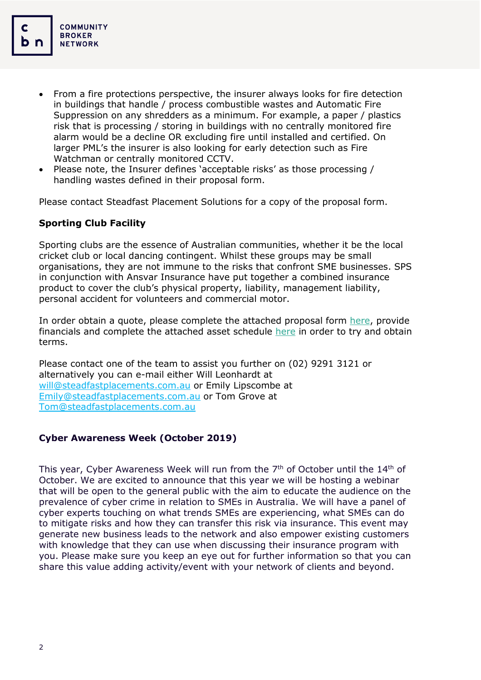- From a fire protections perspective, the insurer always looks for fire detection in buildings that handle / process combustible wastes and Automatic Fire Suppression on any shredders as a minimum. For example, a paper / plastics risk that is processing / storing in buildings with no centrally monitored fire alarm would be a decline OR excluding fire until installed and certified. On larger PML's the insurer is also looking for early detection such as Fire Watchman or centrally monitored CCTV.
- Please note, the Insurer defines 'acceptable risks' as those processing / handling wastes defined in their proposal form.

Please contact Steadfast Placement Solutions for a copy of the proposal form.

## **Sporting Club Facility**

Sporting clubs are the essence of Australian communities, whether it be the local cricket club or local dancing contingent. Whilst these groups may be small organisations, they are not immune to the risks that confront SME businesses. SPS in conjunction with Ansvar Insurance have put together a combined insurance product to cover the club's physical property, liability, management liability, personal accident for volunteers and commercial motor.

In order obtain a quote, please complete the attached proposal form [here,](https://www.cbnet.com.au/wp-content/uploads/2019/09/AnsvarSPS-Community-Sports-Combined-Proposal-Form-FINAL-Digitised.pdf) provide financials and complete the attached asset schedule [here](https://www.cbnet.com.au/wp-content/uploads/2019/09/TravelCard-Email-and-Website-Link-Generation.docx) in order to try and obtain terms.

Please contact one of the team to assist you further on (02) 9291 3121 or alternatively you can e-mail either Will Leonhardt at [will@steadfastplacements.com.au](mailto:will@steadfastplacements.com.au) or Emily Lipscombe at [Emily@steadfastplacements.com.au](mailto:Emily@steadfastplacements.com.au) or Tom Grove at [Tom@steadfastplacements.com.au](mailto:Tom@steadfastplacements.com.au)

### **Cyber Awareness Week (October 2019)**

This year, Cyber Awareness Week will run from the  $7<sup>th</sup>$  of October until the  $14<sup>th</sup>$  of October. We are excited to announce that this year we will be hosting a webinar that will be open to the general public with the aim to educate the audience on the prevalence of cyber crime in relation to SMEs in Australia. We will have a panel of cyber experts touching on what trends SMEs are experiencing, what SMEs can do to mitigate risks and how they can transfer this risk via insurance. This event may generate new business leads to the network and also empower existing customers with knowledge that they can use when discussing their insurance program with you. Please make sure you keep an eye out for further information so that you can share this value adding activity/event with your network of clients and beyond.